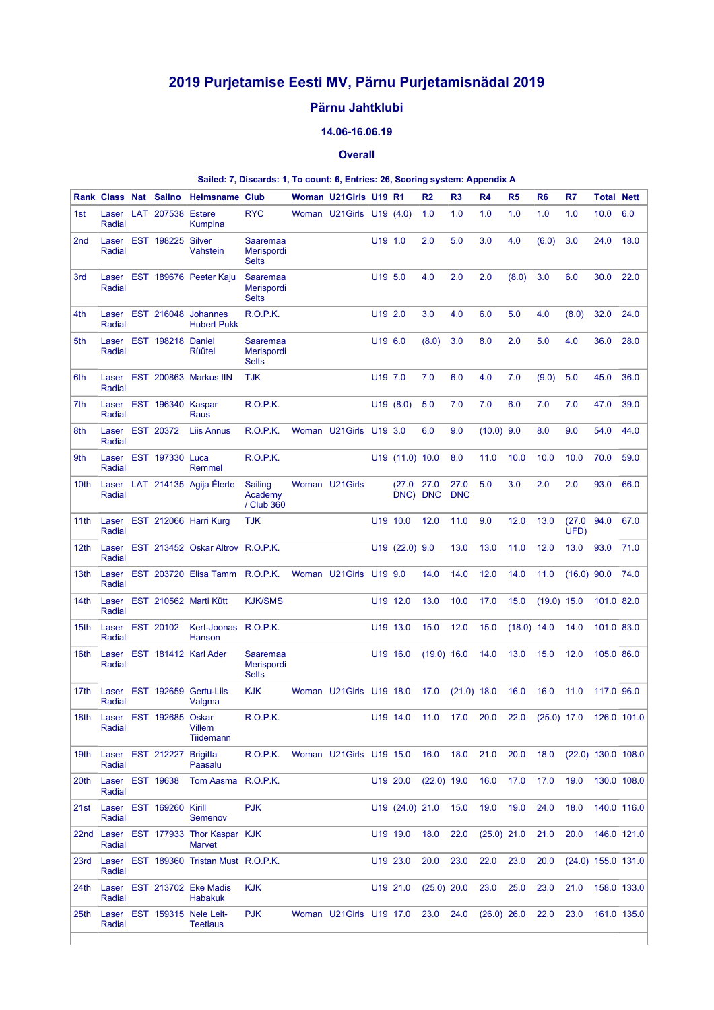# **2019 Purjetamise Eesti MV, Pärnu Purjetamisnädal 2019**

## **Pärnu Jahtklubi**

### **14.06-16.06.19**

#### **Overall**

#### **Sailed: 7, Discards: 1, To count: 6, Entries: 26, Scoring system: Appendix A**

|                  |                           | Rank Class Nat Sailno     | <b>Helmsname Club</b>                           |                                               | Woman U21Girls U19 R1    |                     |                      | R <sub>2</sub> | R <sub>3</sub>     | R <sub>4</sub> | R <sub>5</sub> | R <sub>6</sub> | R7             | <b>Total Nett</b>    |             |
|------------------|---------------------------|---------------------------|-------------------------------------------------|-----------------------------------------------|--------------------------|---------------------|----------------------|----------------|--------------------|----------------|----------------|----------------|----------------|----------------------|-------------|
| 1st              | Radial                    | Laser LAT 207538 Estere   | Kumpina                                         | <b>RYC</b>                                    | Woman U21Girls U19 (4.0) |                     |                      | 1.0            | 1.0                | 1.0            | 1.0            | 1.0            | 1.0            | 10.0                 | 6.0         |
| 2 <sub>nd</sub>  | Laser<br>Radial           | EST 198225 Silver         | Vahstein                                        | <b>Saaremaa</b><br>Merispordi<br><b>Selts</b> |                          | U <sub>19</sub> 1.0 |                      | 2.0            | 5.0                | 3.0            | 4.0            | (6.0)          | 3.0            | 24.0                 | 18.0        |
| 3rd              | Radial                    |                           | Laser EST 189676 Peeter Kaju                    | Saaremaa<br>Merispordi<br><b>Selts</b>        |                          | U19 5.0             |                      | 4.0            | 2.0                | 2.0            | (8.0)          | 3.0            | 6.0            | 30.0                 | 22.0        |
| 4th              | Radial                    |                           | Laser EST 216048 Johannes<br><b>Hubert Pukk</b> | R.O.P.K.                                      |                          | U19 2.0             |                      | 3.0            | 4.0                | 6.0            | 5.0            | 4.0            | (8.0)          | 32.0                 | 24.0        |
| 5th              | Radial                    | Laser EST 198218 Daniel   | Rüütel                                          | Saaremaa<br>Merispordi<br><b>Selts</b>        |                          | U19 6.0             |                      | (8.0)          | 3.0                | 8.0            | 2.0            | 5.0            | 4.0            | 36.0                 | 28.0        |
| 6th              | Laser<br>Radial           |                           | EST 200863 Markus IIN                           | <b>TJK</b>                                    |                          | U19 7.0             |                      | 7.0            | 6.0                | 4.0            | 7.0            | (9.0)          | 5.0            | 45.0                 | 36.0        |
| 7th              | Laser<br>Radial           | EST 196340 Kaspar         | Raus                                            | R.O.P.K.                                      |                          |                     | U19(8.0)             | 5.0            | 7.0                | 7.0            | 6.0            | 7.0            | 7.0            | 47.0                 | 39.0        |
| 8th              | Laser<br>Radial           | EST 20372                 | <b>Liis Annus</b>                               | R.O.P.K.                                      | Woman U21Girls           | U19 3.0             |                      | 6.0            | 9.0                | $(10.0)$ 9.0   |                | 8.0            | 9.0            | 54.0                 | 44.0        |
| 9th              | Radial                    | Laser EST 197330 Luca     | Remmel                                          | <b>R.O.P.K.</b>                               |                          |                     | $U19$ (11.0) 10.0    |                | 8.0                | 11.0           | 10.0           | 10.0           | 10.0           | 70.0                 | 59.0        |
| 10th             | Radial                    |                           | Laser LAT 214135 Agija Elerte                   | Sailing<br>Academy<br>/ Club 360              | Woman U21Girls           |                     | (27.0)<br>DNC) DNC   | 27.0           | 27.0<br><b>DNC</b> | 5.0            | 3.0            | 2.0            | 2.0            | 93.0                 | 66.0        |
| 11th             | Laser<br>Radial           |                           | EST 212066 Harri Kurg                           | <b>TJK</b>                                    |                          |                     | U <sub>19</sub> 10.0 | 12.0           | 11.0               | 9.0            | 12.0           | 13.0           | (27.0)<br>UFD) | 94.0                 | 67.0        |
| 12th             | Laser<br>Radial           |                           | EST 213452 Oskar Altrov R.O.P.K.                |                                               |                          |                     | $U19$ (22.0) 9.0     |                | 13.0               | 13.0           | 11.0           | 12.0           | 13.0           | 93.0                 | 71.0        |
| 13th             | Laser<br>Radial           |                           | EST 203720 Elisa Tamm R.O.P.K.                  |                                               | Woman U21Girls U19 9.0   |                     |                      | 14.0           | 14.0               | 12.0           | 14.0           | 11.0           | $(16.0)$ 90.0  |                      | 74.0        |
| 14th             | Laser<br>Radial           |                           | EST 210562 Marti Kütt                           | <b>KJK/SMS</b>                                |                          |                     | U19 12.0             | 13.0           | 10.0               | 17.0           | 15.0           | $(19.0)$ 15.0  |                | 101.0 82.0           |             |
| 15th             | Laser<br>Radial           | EST 20102                 | Kert-Joonas R.O.P.K.<br>Hanson                  |                                               |                          |                     | U19 13.0             | 15.0           | 12.0               | 15.0           | $(18.0)$ 14.0  |                | 14.0           | 101.0 83.0           |             |
| 16th             | Laser<br>Radial           |                           | EST 181412 Karl Ader                            | Saaremaa<br>Merispordi<br><b>Selts</b>        |                          |                     | U19 16.0             | $(19.0)$ 16.0  |                    | 14.0           | 13.0           | 15.0           | 12.0           | 105.0 86.0           |             |
| 17th             | Laser<br>Radial           |                           | EST 192659 Gertu-Lijs<br>Valgma                 | <b>KJK</b>                                    | Woman U21Girls U19 18.0  |                     |                      | 17.0           | $(21.0)$ 18.0      |                | 16.0           | 16.0           | 11.0           | 117.0 96.0           |             |
| 18 <sub>th</sub> | Radial                    | Laser EST 192685 Oskar    | <b>Villem</b><br><b>Tiidemann</b>               | R.O.P.K.                                      |                          |                     | U19 14.0             | 11.0           | 17.0               | 20.0           | 22.0           | $(25.0)$ 17.0  |                |                      | 126.0 101.0 |
| 19th             | Radial                    | Laser EST 212227 Brigitta | Paasalu                                         | R.O.P.K.                                      | Woman U21Girls U19 15.0  |                     |                      | 16.0           | 18.0               | 21.0           | 20.0           | 18.0           |                | $(22.0)$ 130.0 108.0 |             |
| 20th             | Laser EST 19638<br>Radial |                           | Tom Aasma R.O.P.K.                              |                                               |                          |                     | U19 20.0             | $(22.0)$ 19.0  |                    | 16.0           | 17.0           | 17.0           | 19.0           |                      | 130.0 108.0 |
| 21st             | Radial                    | Laser EST 169260 Kirill   | Semenov                                         | <b>PJK</b>                                    |                          |                     | $U19$ $(24.0)$ 21.0  |                | 15.0               | 19.0           | 19.0           | 24.0           | 18.0           |                      | 140.0 116.0 |
| 22nd             | Radial                    |                           | Laser EST 177933 Thor Kaspar KJK<br>Marvet      |                                               |                          |                     | U19 19.0             | 18.0           | 22.0               | $(25.0)$ 21.0  |                | 21.0           | 20.0           |                      | 146.0 121.0 |
| 23rd             | Radial                    |                           | Laser EST 189360 Tristan Must R.O.P.K.          |                                               |                          |                     | U19 23.0             | 20.0           | 23.0               | 22.0           | 23.0           | 20.0           |                | $(24.0)$ 155.0 131.0 |             |
| 24th             | Radial                    |                           | Laser EST 213702 Eke Madis<br>Habakuk           | <b>KJK</b>                                    |                          |                     | U19 21.0             | $(25.0)$ 20.0  |                    | 23.0           | 25.0           | 23.0           | 21.0           |                      | 158.0 133.0 |
| 25th             | Radial                    |                           | Laser EST 159315 Nele Leit-<br><b>Teetlaus</b>  | <b>PJK</b>                                    | Woman U21Girls U19 17.0  |                     |                      | 23.0           | 24.0               | $(26.0)$ 26.0  |                | 22.0           | 23.0           |                      | 161.0 135.0 |
|                  |                           |                           |                                                 |                                               |                          |                     |                      |                |                    |                |                |                |                |                      |             |